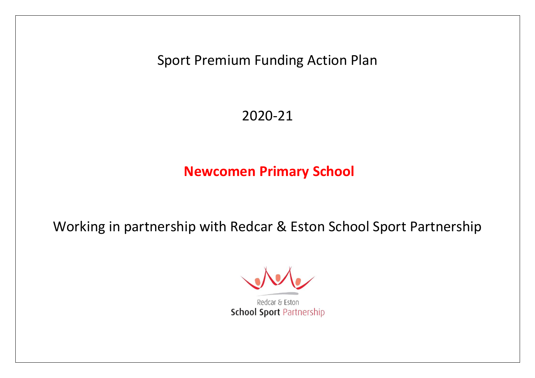Sport Premium Funding Action Plan

2020-21

**Newcomen Primary School**

Working in partnership with Redcar & Eston School Sport Partnership

Redcar & Eston **School Sport Partnership**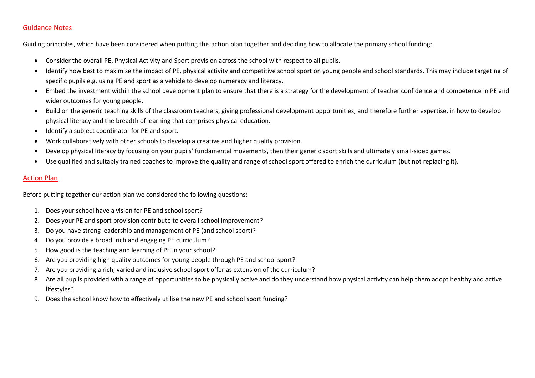# Guidance Notes

Guiding principles, which have been considered when putting this action plan together and deciding how to allocate the primary school funding:

- Consider the overall PE, Physical Activity and Sport provision across the school with respect to all pupils.
- Identify how best to maximise the impact of PE, physical activity and competitive school sport on young people and school standards. This may include targeting of specific pupils e.g. using PE and sport as a vehicle to develop numeracy and literacy.
- Embed the investment within the school development plan to ensure that there is a strategy for the development of teacher confidence and competence in PE and wider outcomes for young people.
- Build on the generic teaching skills of the classroom teachers, giving professional development opportunities, and therefore further expertise, in how to develop physical literacy and the breadth of learning that comprises physical education.
- Identify a subject coordinator for PE and sport.
- Work collaboratively with other schools to develop a creative and higher quality provision.
- Develop physical literacy by focusing on your pupils' fundamental movements, then their generic sport skills and ultimately small-sided games.
- Use qualified and suitably trained coaches to improve the quality and range of school sport offered to enrich the curriculum (but not replacing it).

# Action Plan

Before putting together our action plan we considered the following questions:

- 1. Does your school have a vision for PE and school sport?
- 2. Does your PE and sport provision contribute to overall school improvement?
- 3. Do you have strong leadership and management of PE (and school sport)?
- 4. Do you provide a broad, rich and engaging PE curriculum?
- 5. How good is the teaching and learning of PE in your school?
- 6. Are you providing high quality outcomes for young people through PE and school sport?
- 7. Are you providing a rich, varied and inclusive school sport offer as extension of the curriculum?
- 8. Are all pupils provided with a range of opportunities to be physically active and do they understand how physical activity can help them adopt healthy and active lifestyles?
- 9. Does the school know how to effectively utilise the new PE and school sport funding?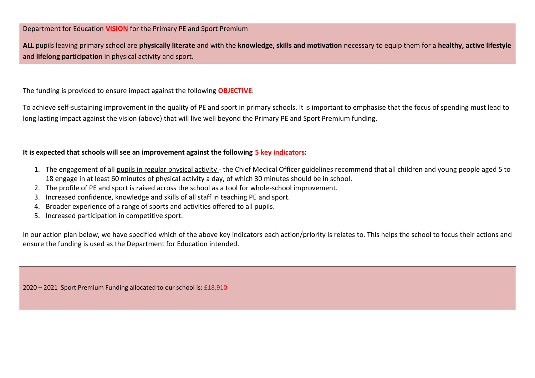Department for Education **VISION** for the Primary PE and Sport Premium

**ALL** pupils leaving primary school are **physically literate** and with the **knowledge, skills and motivation** necessary to equip them for a **healthy, active lifestyle** and **lifelong participation** in physical activity and sport.

The funding is provided to ensure impact against the following **OBJECTIVE**:

To achieve self-sustaining improvement in the quality of PE and sport in primary schools. It is important to emphasise that the focus of spending must lead to long lasting impact against the vision (above) that will live well beyond the Primary PE and Sport Premium funding.

# **It is expected that schools will see an improvement against the following 5 key indicators:**

- 1. The engagement of all pupils in regular physical activity the Chief Medical Officer guidelines recommend that all children and young people aged 5 to 18 engage in at least 60 minutes of physical activity a day, of which 30 minutes should be in school.
- 2. The profile of PE and sport is raised across the school as a tool for whole-school improvement.
- 3. Increased confidence, knowledge and skills of all staff in teaching PE and sport.
- 4. Broader experience of a range of sports and activities offered to all pupils.
- 5. Increased participation in competitive sport.

In our action plan below, we have specified which of the above key indicators each action/priority is relates to. This helps the school to focus their actions and ensure the funding is used as the Department for Education intended.

2020 – 2021 Sport Premium Funding allocated to our school is: £18,910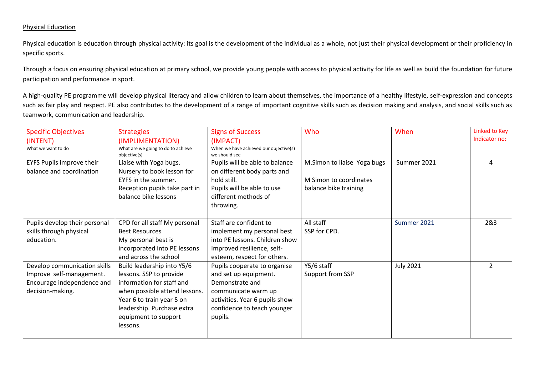## Physical Education

Physical education is education through physical activity: its goal is the development of the individual as a whole, not just their physical development or their proficiency in specific sports.

Through a focus on ensuring physical education at primary school, we provide young people with access to physical activity for life as well as build the foundation for future participation and performance in sport.

A high-quality PE programme will develop physical literacy and allow children to learn about themselves, the importance of a healthy lifestyle, self-expression and concepts such as fair play and respect. PE also contributes to the development of a range of important cognitive skills such as decision making and analysis, and social skills such as teamwork, communication and leadership.

| <b>Specific Objectives</b>    | <b>Strategies</b>                                  | <b>Signs of Success</b>                                 | Who                         | When             | Linked to Key |
|-------------------------------|----------------------------------------------------|---------------------------------------------------------|-----------------------------|------------------|---------------|
| (INTENT)                      | (IMPLIMENTATION)                                   | (IMPACT)                                                |                             |                  | Indicator no: |
| What we want to do            | What are we going to do to achieve<br>objective(s) | When we have achieved our objective(s)<br>we should see |                             |                  |               |
| EYFS Pupils improve their     | Liaise with Yoga bugs.                             | Pupils will be able to balance                          | M.Simon to liaise Yoga bugs | Summer 2021      | 4             |
| balance and coordination      | Nursery to book lesson for                         | on different body parts and                             |                             |                  |               |
|                               | EYFS in the summer.                                | hold still.                                             | M Simon to coordinates      |                  |               |
|                               | Reception pupils take part in                      | Pupils will be able to use                              | balance bike training       |                  |               |
|                               | balance bike lessons                               | different methods of                                    |                             |                  |               |
|                               |                                                    | throwing.                                               |                             |                  |               |
|                               |                                                    |                                                         |                             |                  |               |
| Pupils develop their personal | CPD for all staff My personal                      | Staff are confident to                                  | All staff                   | Summer 2021      | 2&3           |
| skills through physical       | <b>Best Resources</b>                              | implement my personal best                              | SSP for CPD.                |                  |               |
| education.                    | My personal best is                                | into PE lessons. Children show                          |                             |                  |               |
|                               | incorporated into PE lessons                       | Improved resilience, self-                              |                             |                  |               |
|                               | and across the school                              | esteem, respect for others.                             |                             |                  |               |
| Develop communication skills  | Build leadership into Y5/6                         | Pupils cooperate to organise                            | Y5/6 staff                  | <b>July 2021</b> | 2             |
| Improve self-management.      | lessons. SSP to provide                            | and set up equipment.                                   | Support from SSP            |                  |               |
| Encourage independence and    | information for staff and                          | Demonstrate and                                         |                             |                  |               |
| decision-making.              | when possible attend lessons.                      | communicate warm up                                     |                             |                  |               |
|                               | Year 6 to train year 5 on                          | activities. Year 6 pupils show                          |                             |                  |               |
|                               | leadership. Purchase extra                         | confidence to teach younger                             |                             |                  |               |
|                               | equipment to support                               | pupils.                                                 |                             |                  |               |
|                               | lessons.                                           |                                                         |                             |                  |               |
|                               |                                                    |                                                         |                             |                  |               |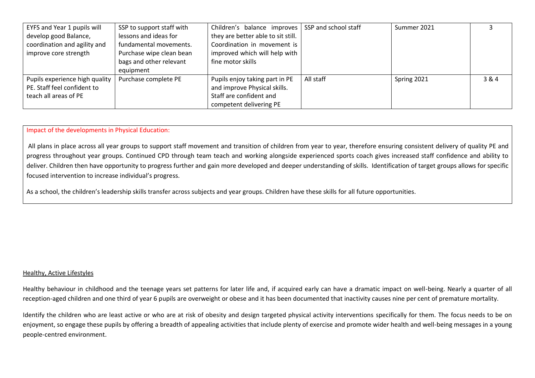| EYFS and Year 1 pupils will    | SSP to support staff with | Children's balance improves        | SSP and school staff | Summer 2021 |       |
|--------------------------------|---------------------------|------------------------------------|----------------------|-------------|-------|
| develop good Balance,          | lessons and ideas for     | they are better able to sit still. |                      |             |       |
| coordination and agility and   | fundamental movements.    | Coordination in movement is        |                      |             |       |
| improve core strength          | Purchase wipe clean bean  | improved which will help with      |                      |             |       |
|                                | bags and other relevant   | fine motor skills                  |                      |             |       |
|                                | equipment                 |                                    |                      |             |       |
| Pupils experience high quality | Purchase complete PE      | Pupils enjoy taking part in PE     | All staff            | Spring 2021 | 3 & 4 |
| PE. Staff feel confident to    |                           | and improve Physical skills.       |                      |             |       |
| teach all areas of PE          |                           | Staff are confident and            |                      |             |       |
|                                |                           | competent delivering PE            |                      |             |       |

Impact of the developments in Physical Education:

All plans in place across all year groups to support staff movement and transition of children from year to year, therefore ensuring consistent delivery of quality PE and progress throughout year groups. Continued CPD through team teach and working alongside experienced sports coach gives increased staff confidence and ability to deliver. Children then have opportunity to progress further and gain more developed and deeper understanding of skills. Identification of target groups allows for specific focused intervention to increase individual's progress.

As a school, the children's leadership skills transfer across subjects and year groups. Children have these skills for all future opportunities.

#### Healthy, Active Lifestyles

Healthy behaviour in childhood and the teenage years set patterns for later life and, if acquired early can have a dramatic impact on well-being. Nearly a quarter of all reception-aged children and one third of year 6 pupils are overweight or obese and it has been documented that inactivity causes nine per cent of premature mortality.

Identify the children who are least active or who are at risk of obesity and design targeted physical activity interventions specifically for them. The focus needs to be on enjoyment, so engage these pupils by offering a breadth of appealing activities that include plenty of exercise and promote wider health and well-being messages in a young people-centred environment.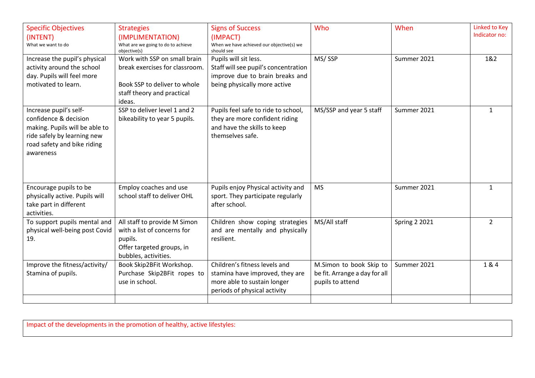| <b>Specific Objectives</b><br>(INTENT)<br>What we want to do                                                                                                 | <b>Strategies</b><br>(IMPLIMENTATION)<br>What are we going to do to achieve<br>objective(s)                                            | <b>Signs of Success</b><br>(IMPACT)<br>When we have achieved our objective(s) we<br>should see                                   | Who                                                                          | When                 | Linked to Key<br>Indicator no: |
|--------------------------------------------------------------------------------------------------------------------------------------------------------------|----------------------------------------------------------------------------------------------------------------------------------------|----------------------------------------------------------------------------------------------------------------------------------|------------------------------------------------------------------------------|----------------------|--------------------------------|
| Increase the pupil's physical<br>activity around the school<br>day. Pupils will feel more<br>motivated to learn.                                             | Work with SSP on small brain<br>break exercises for classroom.<br>Book SSP to deliver to whole<br>staff theory and practical<br>ideas. | Pupils will sit less.<br>Staff will see pupil's concentration<br>improve due to brain breaks and<br>being physically more active | MS/SSP                                                                       | Summer 2021          | 1&2                            |
| Increase pupil's self-<br>confidence & decision<br>making. Pupils will be able to<br>ride safely by learning new<br>road safety and bike riding<br>awareness | SSP to deliver level 1 and 2<br>bikeability to year 5 pupils.                                                                          | Pupils feel safe to ride to school,<br>they are more confident riding<br>and have the skills to keep<br>themselves safe.         | MS/SSP and year 5 staff                                                      | Summer 2021          | $\mathbf{1}$                   |
| Encourage pupils to be<br>physically active. Pupils will<br>take part in different<br>activities.                                                            | Employ coaches and use<br>school staff to deliver OHL                                                                                  | Pupils enjoy Physical activity and<br>sport. They participate regularly<br>after school.                                         | <b>MS</b>                                                                    | Summer 2021          | $\mathbf{1}$                   |
| To support pupils mental and<br>physical well-being post Covid<br>19.                                                                                        | All staff to provide M Simon<br>with a list of concerns for<br>pupils.<br>Offer targeted groups, in<br>bubbles, activities.            | Children show coping strategies<br>and are mentally and physically<br>resilient.                                                 | MS/All staff                                                                 | <b>Spring 2 2021</b> | $\overline{2}$                 |
| Improve the fitness/activity/<br>Stamina of pupils.                                                                                                          | Book Skip2BFit Workshop.<br>Purchase Skip2BFit ropes to<br>use in school.                                                              | Children's fitness levels and<br>stamina have improved, they are<br>more able to sustain longer<br>periods of physical activity  | M.Simon to book Skip to<br>be fit. Arrange a day for all<br>pupils to attend | Summer 2021          | 1&4                            |

Impact of the developments in the promotion of healthy, active lifestyles: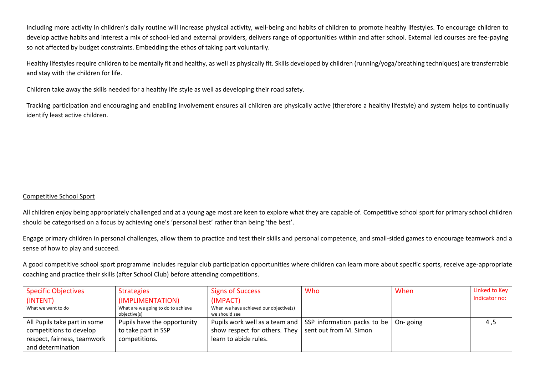Including more activity in children's daily routine will increase physical activity, well-being and habits of children to promote healthy lifestyles. To encourage children to develop active habits and interest a mix of school-led and external providers, delivers range of opportunities within and after school. External led courses are fee-paying so not affected by budget constraints. Embedding the ethos of taking part voluntarily.

Healthy lifestyles require children to be mentally fit and healthy, as well as physically fit. Skills developed by children (running/yoga/breathing techniques) are transferrable and stay with the children for life.

Children take away the skills needed for a healthy life style as well as developing their road safety.

Tracking participation and encouraging and enabling involvement ensures all children are physically active (therefore a healthy lifestyle) and system helps to continually identify least active children.

# Competitive School Sport

All children enjoy being appropriately challenged and at a young age most are keen to explore what they are capable of. Competitive school sport for primary school children should be categorised on a focus by achieving one's 'personal best' rather than being 'the best'.

Engage primary children in personal challenges, allow them to practice and test their skills and personal competence, and small-sided games to encourage teamwork and a sense of how to play and succeed.

A good competitive school sport programme includes regular club participation opportunities where children can learn more about specific sports, receive age-appropriate coaching and practice their skills (after School Club) before attending competitions.

| Specific Objectives          | <b>Strategies</b>                  | <b>Signs of Success</b>                                                           | Who                    | When | Linked to Key |
|------------------------------|------------------------------------|-----------------------------------------------------------------------------------|------------------------|------|---------------|
| (INTENT)                     | (IMPLIMENTATION)                   | (IMPACT)                                                                          |                        |      | Indicator no: |
| What we want to do           | What are we going to do to achieve | When we have achieved our objective(s)                                            |                        |      |               |
|                              | objective(s)                       | we should see                                                                     |                        |      |               |
| All Pupils take part in some | Pupils have the opportunity        | Pupils work well as a team and $\mid$ SSP information packs to be $\mid$ On-going |                        |      | 4,5           |
| competitions to develop      | to take part in SSP                | show respect for others. They                                                     | sent out from M. Simon |      |               |
| respect, fairness, teamwork  | competitions.                      | learn to abide rules.                                                             |                        |      |               |
| and determination            |                                    |                                                                                   |                        |      |               |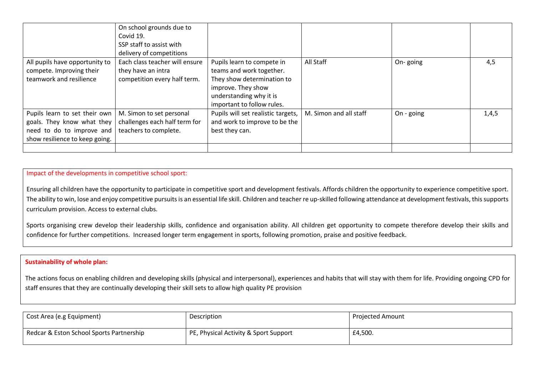|                                                                                                                            | On school grounds due to<br>Covid 19.<br>SSP staff to assist with<br>delivery of competitions |                                                                                                                                                                     |                        |            |       |
|----------------------------------------------------------------------------------------------------------------------------|-----------------------------------------------------------------------------------------------|---------------------------------------------------------------------------------------------------------------------------------------------------------------------|------------------------|------------|-------|
| All pupils have opportunity to<br>compete. Improving their<br>teamwork and resilience                                      | Each class teacher will ensure<br>they have an intra<br>competition every half term.          | Pupils learn to compete in<br>teams and work together.<br>They show determination to<br>improve. They show<br>understanding why it is<br>important to follow rules. | All Staff              | On-going   | 4,5   |
| Pupils learn to set their own<br>goals. They know what they<br>need to do to improve and<br>show resilience to keep going. | M. Simon to set personal<br>challenges each half term for<br>teachers to complete.            | Pupils will set realistic targets,<br>and work to improve to be the<br>best they can.                                                                               | M. Simon and all staff | On - going | 1,4,5 |
|                                                                                                                            |                                                                                               |                                                                                                                                                                     |                        |            |       |

## Impact of the developments in competitive school sport:

Ensuring all children have the opportunity to participate in competitive sport and development festivals. Affords children the opportunity to experience competitive sport. The ability to win, lose and enjoy competitive pursuits is an essential life skill. Children and teacher re up-skilled following attendance at development festivals, this supports curriculum provision. Access to external clubs.

Sports organising crew develop their leadership skills, confidence and organisation ability. All children get opportunity to compete therefore develop their skills and confidence for further competitions. Increased longer term engagement in sports, following promotion, praise and positive feedback.

## **Sustainability of whole plan:**

Sport Premium Cost Breakdown

The actions focus on enabling children and developing skills (physical and interpersonal), experiences and habits that will stay with them for life. Providing ongoing CPD for staff ensures that they are continually developing their skill sets to allow high quality PE provision

| Cost Area (e.g Equipment)                | <b>Description</b>                    | Projected Amount |
|------------------------------------------|---------------------------------------|------------------|
| Redcar & Eston School Sports Partnership | PE, Physical Activity & Sport Support | £4,500.          |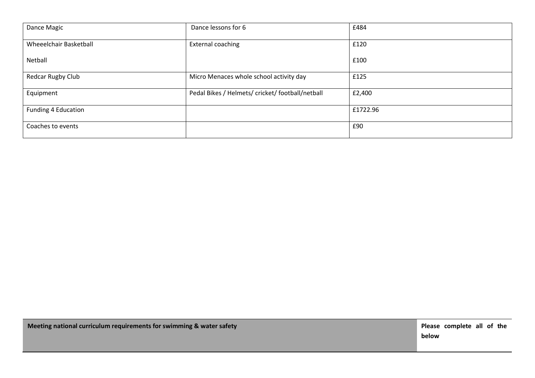| Dance Magic            | Dance lessons for 6                              | £484     |
|------------------------|--------------------------------------------------|----------|
| Wheeelchair Basketball | External coaching                                | £120     |
| Netball                |                                                  | £100     |
| Redcar Rugby Club      | Micro Menaces whole school activity day          | £125     |
| Equipment              | Pedal Bikes / Helmets/ cricket/ football/netball | £2,400   |
| Funding 4 Education    |                                                  | £1722.96 |
| Coaches to events      |                                                  | £90      |